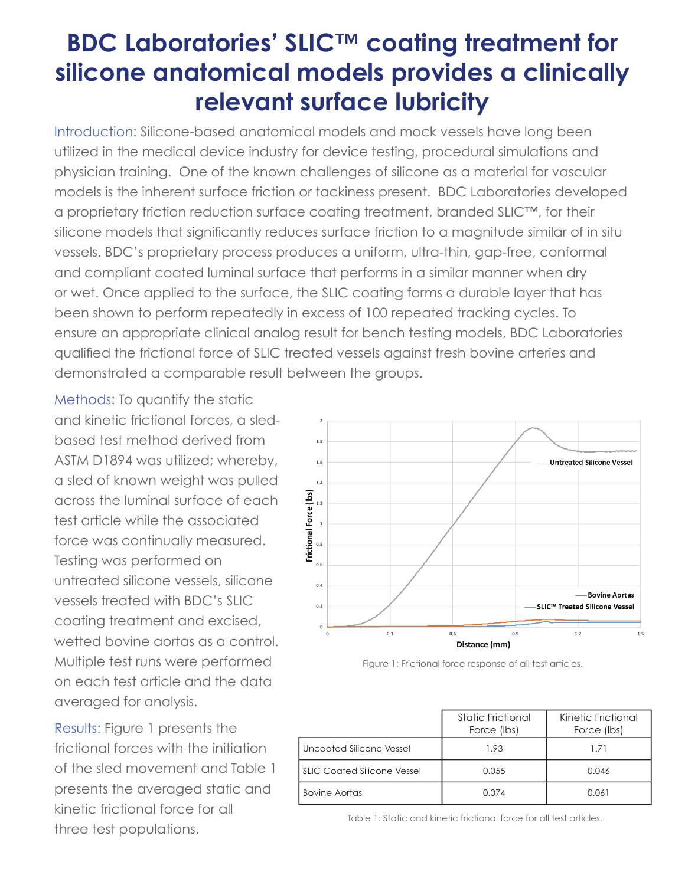## **BDC Laboratories' SLIC™ coating treatment for silicone anatomical models provides a clinically relevant surface lubricity**

Introduction: Silicone-based anatomical models and mock vessels have long been utilized in the medical device industry for device testing, procedural simulations and physician training. One of the known challenges of silicone as a material for vascular models is the inherent surface friction or tackiness present. BDC Laboratories developed a proprietary friction reduction surface coating treatment, branded SLIC™, for their silicone models that significantly reduces surface friction to a magnitude similar of in situ vessels. BDC's proprietary process produces a uniform, ultra-thin, gap-free, conformal and compliant coated luminal surface that performs in a similar manner when dry or wet. Once applied to the surface, the SLIC coating forms a durable layer that has been shown to perform repeatedly in excess of 100 repeated tracking cycles. To ensure an appropriate clinical analog result for bench testing models, BDC Laboratories qualified the frictional force of SLIC treated vessels against fresh bovine arteries and demonstrated a comparable result between the groups.

Methods: To quantify the static and kinetic frictional forces, a sledbased test method derived from ASTM D1894 was utilized; whereby, a sled of known weight was pulled across the luminal surface of each test article while the associated force was continually measured. Testing was performed on untreated silicone vessels, silicone vessels treated with BDC's SLIC coating treatment and excised, wetted bovine aortas as a control. Multiple test runs were performed on each test article and the data averaged for analysis.

Results: Figure 1 presents the frictional forces with the initiation of the sled movement and Table 1 presents the averaged static and kinetic frictional force for all three test populations.



Figure 1: Frictional force response of all test articles.

|                                    | Static Frictional<br>Force (lbs) | Kinetic Frictional<br>Force (lbs) |
|------------------------------------|----------------------------------|-----------------------------------|
| Uncoated Silicone Vessel           | 1.93                             | 1.71                              |
| <b>SLIC Coated Silicone Vessel</b> | 0.055                            | 0.046                             |
| <b>Bovine Aortas</b>               | 0.074                            | 0.061                             |

Table 1: Static and kinetic frictional force for all test articles.